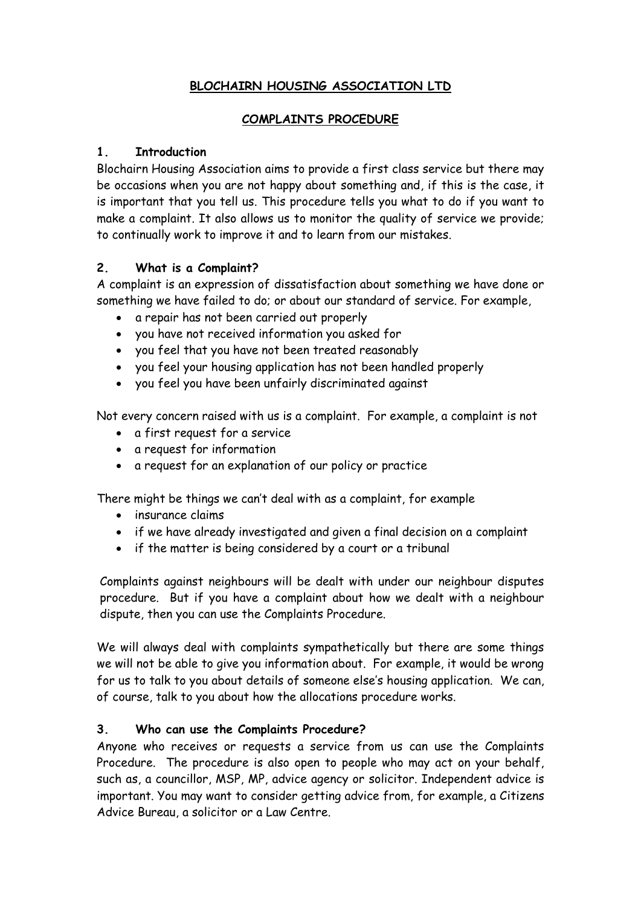# **BLOCHAIRN HOUSING ASSOCIATION LTD**

### **COMPLAINTS PROCEDURE**

### **1. Introduction**

Blochairn Housing Association aims to provide a first class service but there may be occasions when you are not happy about something and, if this is the case, it is important that you tell us. This procedure tells you what to do if you want to make a complaint. It also allows us to monitor the quality of service we provide; to continually work to improve it and to learn from our mistakes.

### **2. What is a Complaint?**

A complaint is an expression of dissatisfaction about something we have done or something we have failed to do; or about our standard of service. For example,

- a repair has not been carried out properly
- you have not received information you asked for
- you feel that you have not been treated reasonably
- you feel your housing application has not been handled properly
- you feel you have been unfairly discriminated against

Not every concern raised with us is a complaint. For example, a complaint is not

- a first request for a service
- a request for information
- a request for an explanation of our policy or practice

There might be things we can't deal with as a complaint, for example

- insurance claims
- if we have already investigated and given a final decision on a complaint
- if the matter is being considered by a court or a tribunal

Complaints against neighbours will be dealt with under our neighbour disputes procedure. But if you have a complaint about how we dealt with a neighbour dispute, then you can use the Complaints Procedure.

We will always deal with complaints sympathetically but there are some things we will not be able to give you information about. For example, it would be wrong for us to talk to you about details of someone else's housing application. We can, of course, talk to you about how the allocations procedure works.

## **3. Who can use the Complaints Procedure?**

Anyone who receives or requests a service from us can use the Complaints Procedure. The procedure is also open to people who may act on your behalf, such as, a councillor, MSP, MP, advice agency or solicitor. Independent advice is important. You may want to consider getting advice from, for example, a Citizens Advice Bureau, a solicitor or a Law Centre.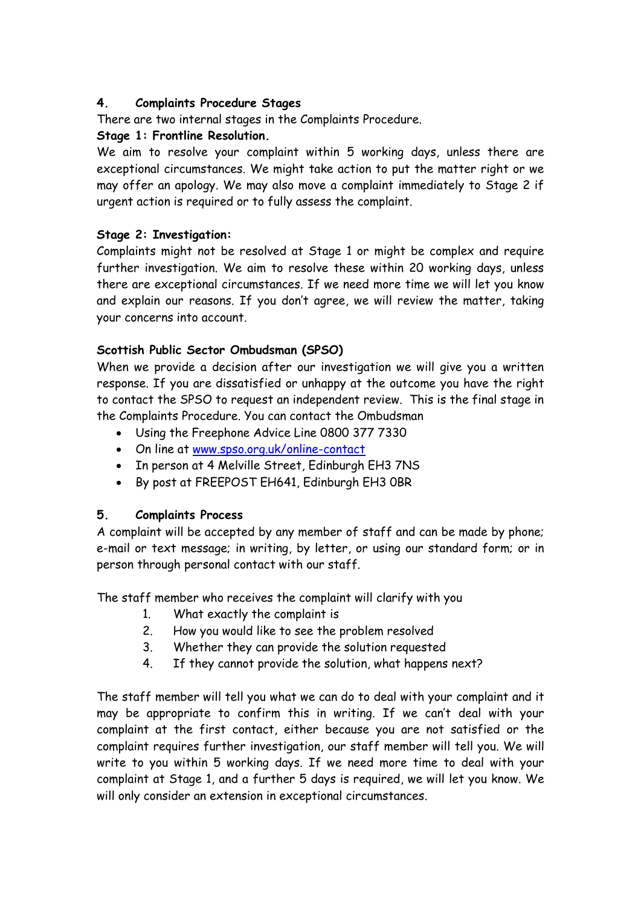# **4. Complaints Procedure Stages**

There are two internal stages in the Complaints Procedure.

# **Stage 1: Frontline Resolution.**

We aim to resolve your complaint within 5 working days, unless there are exceptional circumstances. We might take action to put the matter right or we may offer an apology. We may also move a complaint immediately to Stage 2 if urgent action is required or to fully assess the complaint.

## **Stage 2: Investigation:**

Complaints might not be resolved at Stage 1 or might be complex and require further investigation. We aim to resolve these within 20 working days, unless there are exceptional circumstances. If we need more time we will let you know and explain our reasons. If you don't agree, we will review the matter, taking your concerns into account.

# **Scottish Public Sector Ombudsman (SPSO)**

When we provide a decision after our investigation we will give you a written response. If you are dissatisfied or unhappy at the outcome you have the right to contact the SPSO to request an independent review. This is the final stage in the Complaints Procedure. You can contact the Ombudsman

- Using the Freephone Advice Line 0800 377 7330
- On line at [www.spso.org.uk/online-contact](http://www.spso.org.uk/online-contact)
- In person at 4 Melville Street, Edinburgh EH3 7NS
- By post at FREEPOST EH641, Edinburgh EH3 0BR

## **5. Complaints Process**

A complaint will be accepted by any member of staff and can be made by phone; e-mail or text message; in writing, by letter, or using our standard form; or in person through personal contact with our staff.

The staff member who receives the complaint will clarify with you

- 1. What exactly the complaint is
- 2. How you would like to see the problem resolved
- 3. Whether they can provide the solution requested
- 4. If they cannot provide the solution, what happens next?

The staff member will tell you what we can do to deal with your complaint and it may be appropriate to confirm this in writing. If we can't deal with your complaint at the first contact, either because you are not satisfied or the complaint requires further investigation, our staff member will tell you. We will write to you within 5 working days. If we need more time to deal with your complaint at Stage 1, and a further 5 days is required, we will let you know. We will only consider an extension in exceptional circumstances.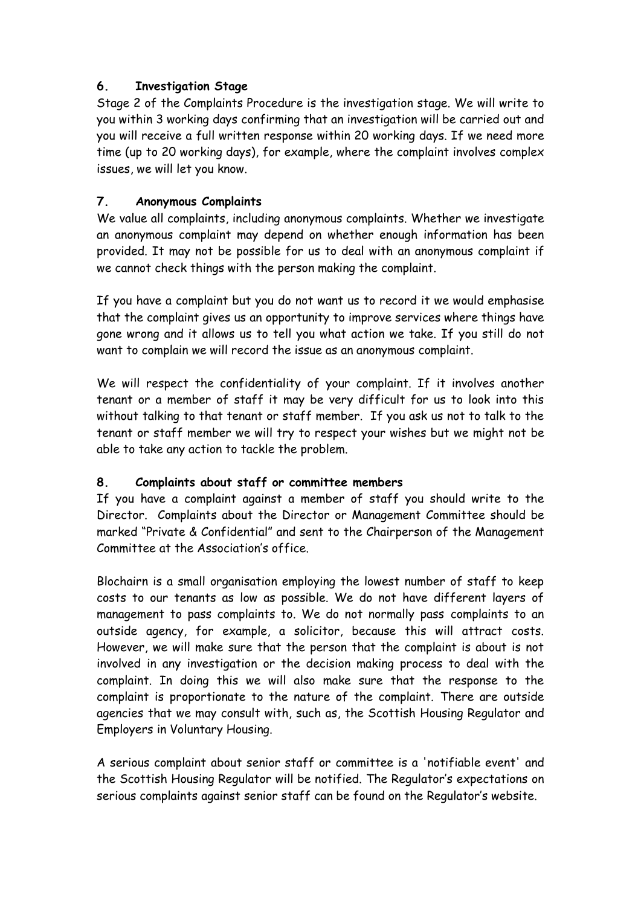## **6. Investigation Stage**

Stage 2 of the Complaints Procedure is the investigation stage. We will write to you within 3 working days confirming that an investigation will be carried out and you will receive a full written response within 20 working days. If we need more time (up to 20 working days), for example, where the complaint involves complex issues, we will let you know.

# **7. Anonymous Complaints**

We value all complaints, including anonymous complaints. Whether we investigate an anonymous complaint may depend on whether enough information has been provided. It may not be possible for us to deal with an anonymous complaint if we cannot check things with the person making the complaint.

If you have a complaint but you do not want us to record it we would emphasise that the complaint gives us an opportunity to improve services where things have gone wrong and it allows us to tell you what action we take. If you still do not want to complain we will record the issue as an anonymous complaint.

We will respect the confidentiality of your complaint. If it involves another tenant or a member of staff it may be very difficult for us to look into this without talking to that tenant or staff member. If you ask us not to talk to the tenant or staff member we will try to respect your wishes but we might not be able to take any action to tackle the problem.

## **8. Complaints about staff or committee members**

If you have a complaint against a member of staff you should write to the Director. Complaints about the Director or Management Committee should be marked "Private & Confidential" and sent to the Chairperson of the Management Committee at the Association's office.

Blochairn is a small organisation employing the lowest number of staff to keep costs to our tenants as low as possible. We do not have different layers of management to pass complaints to. We do not normally pass complaints to an outside agency, for example, a solicitor, because this will attract costs. However, we will make sure that the person that the complaint is about is not involved in any investigation or the decision making process to deal with the complaint. In doing this we will also make sure that the response to the complaint is proportionate to the nature of the complaint. There are outside agencies that we may consult with, such as, the Scottish Housing Regulator and Employers in Voluntary Housing.

A serious complaint about senior staff or committee is a 'notifiable event' and the Scottish Housing Regulator will be notified. The Regulator's expectations on serious complaints against senior staff can be found on the Regulator's website.